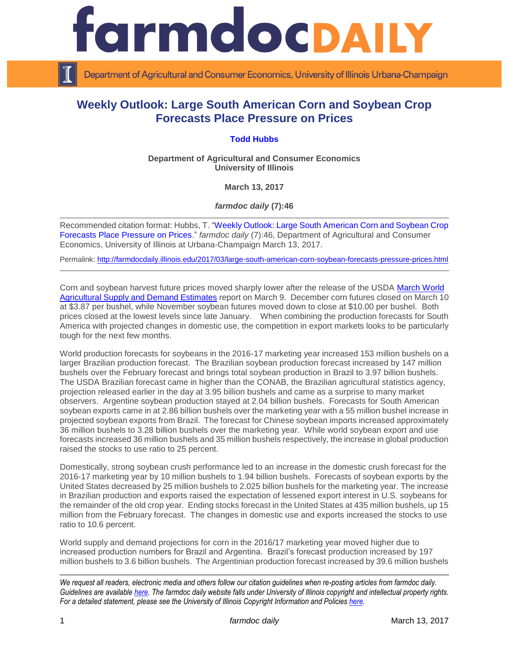

Department of Agricultural and Consumer Economics, University of Illinois Urbana-Champaign

## **Weekly Outlook: Large South American Corn and Soybean Crop Forecasts Place Pressure on Prices**

## **[Todd Hubbs](http://ace.illinois.edu/directory/jhubbs3)**

**Department of Agricultural and Consumer Economics University of Illinois**

**March 13, 2017**

*farmdoc daily* **(7):46**

Recommended citation format: Hubbs, T. ["Weekly Outlook: Large South American Corn and Soybean Crop](http://farmdocdaily.illinois.edu/2017/03/large-south-american-corn-soybean-forecasts-pressure-prices.html)  Forecasts [Place Pressure on Prices.](http://farmdocdaily.illinois.edu/2017/03/large-south-american-corn-soybean-forecasts-pressure-prices.html)" *farmdoc daily* (7):46, Department of Agricultural and Consumer Economics, University of Illinois at Urbana-Champaign March 13, 2017.

Permalink: <http://farmdocdaily.illinois.edu/2017/03/large-south-american-corn-soybean-forecasts-pressure-prices.html>

Corn and soybean harvest future prices moved sharply lower after the release of the USDA [March World](http://www.usda.gov/oce/commodity/wasde/latest.pdf)  [Agricultural Supply and Demand Estimates](http://www.usda.gov/oce/commodity/wasde/latest.pdf) report on March 9. December corn futures closed on March 10 at \$3.87 per bushel, while November soybean futures moved down to close at \$10.00 per bushel. Both prices closed at the lowest levels since late January. When combining the production forecasts for South America with projected changes in domestic use, the competition in export markets looks to be particularly tough for the next few months.

World production forecasts for soybeans in the 2016-17 marketing year increased 153 million bushels on a larger Brazilian production forecast. The Brazilian soybean production forecast increased by 147 million bushels over the February forecast and brings total soybean production in Brazil to 3.97 billion bushels. The USDA Brazilian forecast came in higher than the CONAB, the Brazilian agricultural statistics agency, projection released earlier in the day at 3.95 billion bushels and came as a surprise to many market observers. Argentine soybean production stayed at 2.04 billion bushels. Forecasts for South American soybean exports came in at 2.86 billion bushels over the marketing year with a 55 million bushel increase in projected soybean exports from Brazil. The forecast for Chinese soybean imports increased approximately 36 million bushels to 3.28 billion bushels over the marketing year. While world soybean export and use forecasts increased 36 million bushels and 35 million bushels respectively, the increase in global production raised the stocks to use ratio to 25 percent.

Domestically, strong soybean crush performance led to an increase in the domestic crush forecast for the 2016-17 marketing year by 10 million bushels to 1.94 billion bushels. Forecasts of soybean exports by the United States decreased by 25 million bushels to 2.025 billion bushels for the marketing year. The increase in Brazilian production and exports raised the expectation of lessened export interest in U.S. soybeans for the remainder of the old crop year. Ending stocks forecast in the United States at 435 million bushels, up 15 million from the February forecast. The changes in domestic use and exports increased the stocks to use ratio to 10.6 percent.

World supply and demand projections for corn in the 2016/17 marketing year moved higher due to increased production numbers for Brazil and Argentina. Brazil's forecast production increased by 197 million bushels to 3.6 billion bushels. The Argentinian production forecast increased by 39.6 million bushels

*We request all readers, electronic media and others follow our citation guidelines when re-posting articles from farmdoc daily. Guidelines are available [here.](http://farmdocdaily.illinois.edu/citationguide.html) The farmdoc daily website falls under University of Illinois copyright and intellectual property rights. For a detailed statement, please see the University of Illinois Copyright Information and Policies [here.](http://www.cio.illinois.edu/policies/copyright/)*